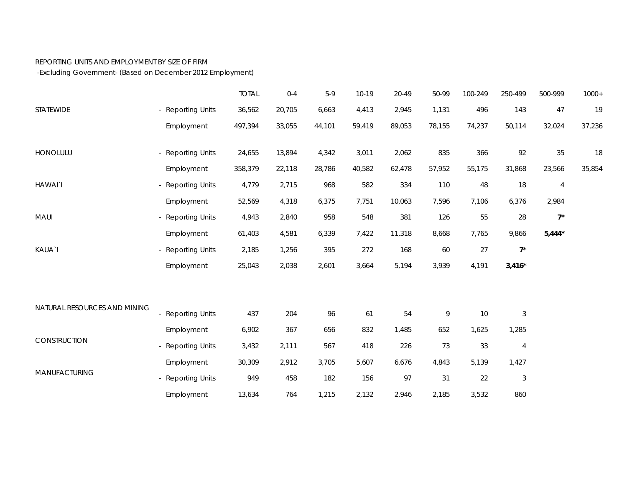## REPORTING UNITS AND EMPLOYMENT BY SIZE OF FIRM

-Excluding Government- (Based on December 2012 Employment)

|                              |                   | <b>TOTAL</b> | $0 - 4$ | $5-9$  | $10-19$ | 20-49  | 50-99  | 100-249 | 250-499                   | 500-999        | $1000+$ |
|------------------------------|-------------------|--------------|---------|--------|---------|--------|--------|---------|---------------------------|----------------|---------|
| STATEWIDE                    | - Reporting Units | 36,562       | 20,705  | 6,663  | 4,413   | 2,945  | 1,131  | 496     | 143                       | 47             | 19      |
|                              | Employment        | 497,394      | 33,055  | 44,101 | 59,419  | 89,053 | 78,155 | 74,237  | 50,114                    | 32,024         | 37,236  |
| HONOLULU                     | - Reporting Units | 24,655       | 13,894  | 4,342  | 3,011   | 2,062  | 835    | 366     | 92                        | 35             | 18      |
|                              | Employment        | 358,379      | 22,118  | 28,786 | 40,582  | 62,478 | 57,952 | 55,175  | 31,868                    | 23,566         | 35,854  |
| <b>HAWAI</b> `I              | - Reporting Units | 4,779        | 2,715   | 968    | 582     | 334    | 110    | 48      | 18                        | $\overline{4}$ |         |
|                              | Employment        | 52,569       | 4,318   | 6,375  | 7,751   | 10,063 | 7,596  | 7,106   | 6,376                     | 2,984          |         |
| MAUI                         | - Reporting Units | 4,943        | 2,840   | 958    | 548     | 381    | 126    | 55      | 28                        | $7^*$          |         |
|                              | Employment        | 61,403       | 4,581   | 6,339  | 7,422   | 11,318 | 8,668  | 7,765   | 9,866                     | $5,444*$       |         |
| KAUA`I                       | - Reporting Units | 2,185        | 1,256   | 395    | 272     | 168    | 60     | 27      | $7^*$                     |                |         |
|                              | Employment        | 25,043       | 2,038   | 2,601  | 3,664   | 5,194  | 3,939  | 4,191   | $3,416*$                  |                |         |
|                              |                   |              |         |        |         |        |        |         |                           |                |         |
| NATURAL RESOURCES AND MINING | - Reporting Units | 437          | 204     | 96     | 61      | 54     | 9      | 10      | $\ensuremath{\mathsf{3}}$ |                |         |
| CONSTRUCTION                 | Employment        | 6,902        | 367     | 656    | 832     | 1,485  | 652    | 1,625   | 1,285                     |                |         |
|                              | - Reporting Units | 3,432        | 2,111   | 567    | 418     | 226    | $73\,$ | 33      | $\overline{4}$            |                |         |
| <b>MANUFACTURING</b>         | Employment        | 30,309       | 2,912   | 3,705  | 5,607   | 6,676  | 4,843  | 5,139   | 1,427                     |                |         |
|                              | - Reporting Units | 949          | 458     | 182    | 156     | 97     | 31     | 22      | $\sqrt{3}$                |                |         |
|                              | Employment        | 13,634       | 764     | 1,215  | 2,132   | 2,946  | 2,185  | 3,532   | 860                       |                |         |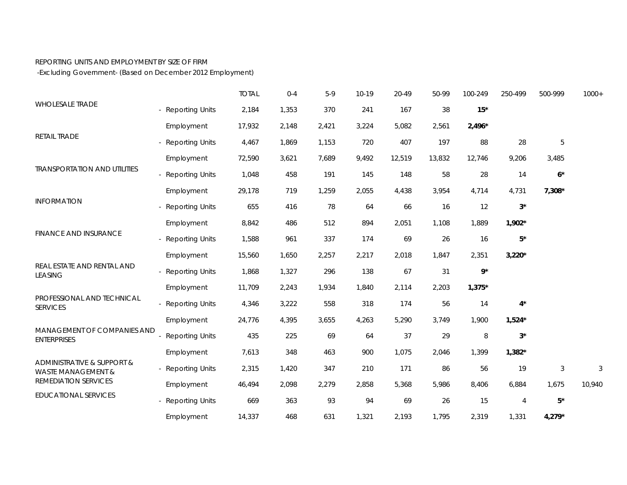## REPORTING UNITS AND EMPLOYMENT BY SIZE OF FIRM

-Excluding Government- (Based on December 2012 Employment)

|                                                                                            |                        | <b>TOTAL</b> | $0 - 4$ | $5-9$ | $10-19$ | 20-49  | 50-99  | 100-249  | 250-499        | 500-999        | $1000+$ |
|--------------------------------------------------------------------------------------------|------------------------|--------------|---------|-------|---------|--------|--------|----------|----------------|----------------|---------|
| <b>WHOLESALE TRADE</b>                                                                     | - Reporting Units      | 2,184        | 1,353   | 370   | 241     | 167    | 38     | $15*$    |                |                |         |
| RETAIL TRADE                                                                               | Employment             | 17,932       | 2,148   | 2,421 | 3,224   | 5,082  | 2,561  | $2,496*$ |                |                |         |
|                                                                                            | - Reporting Units      | 4,467        | 1,869   | 1,153 | 720     | 407    | 197    | 88       | 28             | 5              |         |
| <b>TRANSPORTATION AND UTILITIES</b>                                                        | Employment             | 72,590       | 3,621   | 7,689 | 9,492   | 12,519 | 13,832 | 12,746   | 9,206          | 3,485          |         |
|                                                                                            | - Reporting Units      | 1,048        | 458     | 191   | 145     | 148    | 58     | 28       | 14             | $6*$           |         |
| <b>INFORMATION</b><br><b>FINANCE AND INSURANCE</b>                                         | Employment             | 29,178       | 719     | 1,259 | 2,055   | 4,438  | 3,954  | 4,714    | 4,731          | $7,308*$       |         |
|                                                                                            | - Reporting Units      | 655          | 416     | 78    | 64      | 66     | 16     | 12       | $3^*$          |                |         |
|                                                                                            | Employment             | 8,842        | 486     | 512   | 894     | 2,051  | 1,108  | 1,889    | $1,902*$       |                |         |
|                                                                                            | - Reporting Units      | 1,588        | 961     | 337   | 174     | 69     | 26     | 16       | $5*$           |                |         |
|                                                                                            | Employment             | 15,560       | 1,650   | 2,257 | 2,217   | 2,018  | 1,847  | 2,351    | $3,220*$       |                |         |
| REAL ESTATE AND RENTAL AND<br><b>LEASING</b>                                               | - Reporting Units      | 1,868        | 1,327   | 296   | 138     | 67     | 31     | $9*$     |                |                |         |
|                                                                                            | Employment             | 11,709       | 2,243   | 1,934 | 1,840   | 2,114  | 2,203  | $1,375*$ |                |                |         |
| PROFESSIONAL AND TECHNICAL<br><b>SERVICES</b>                                              | - Reporting Units      | 4,346        | 3,222   | 558   | 318     | 174    | 56     | 14       | $4^*$          |                |         |
|                                                                                            | Employment             | 24,776       | 4,395   | 3,655 | 4,263   | 5,290  | 3,749  | 1,900    | $1,524*$       |                |         |
| MANAGEMENT OF COMPANIES AND<br><b>ENTERPRISES</b>                                          | <b>Reporting Units</b> | 435          | 225     | 69    | 64      | 37     | 29     | $\, 8$   | $3^\star$      |                |         |
|                                                                                            | Employment             | 7,613        | 348     | 463   | 900     | 1,075  | 2,046  | 1,399    | $1,382*$       |                |         |
| ADMINISTRATIVE & SUPPORT &<br><b>WASTE MANAGEMENT &amp;</b><br><b>REMEDIATION SERVICES</b> | - Reporting Units      | 2,315        | 1,420   | 347   | 210     | 171    | 86     | 56       | 19             | $\mathfrak{Z}$ | 3       |
|                                                                                            | Employment             | 46,494       | 2,098   | 2,279 | 2,858   | 5,368  | 5,986  | 8,406    | 6,884          | 1,675          | 10,940  |
| <b>EDUCATIONAL SERVICES</b>                                                                | - Reporting Units      | 669          | 363     | 93    | 94      | 69     | 26     | 15       | $\overline{4}$ | $5*$           |         |
|                                                                                            | Employment             | 14,337       | 468     | 631   | 1,321   | 2,193  | 1,795  | 2,319    | 1,331          | 4,279*         |         |